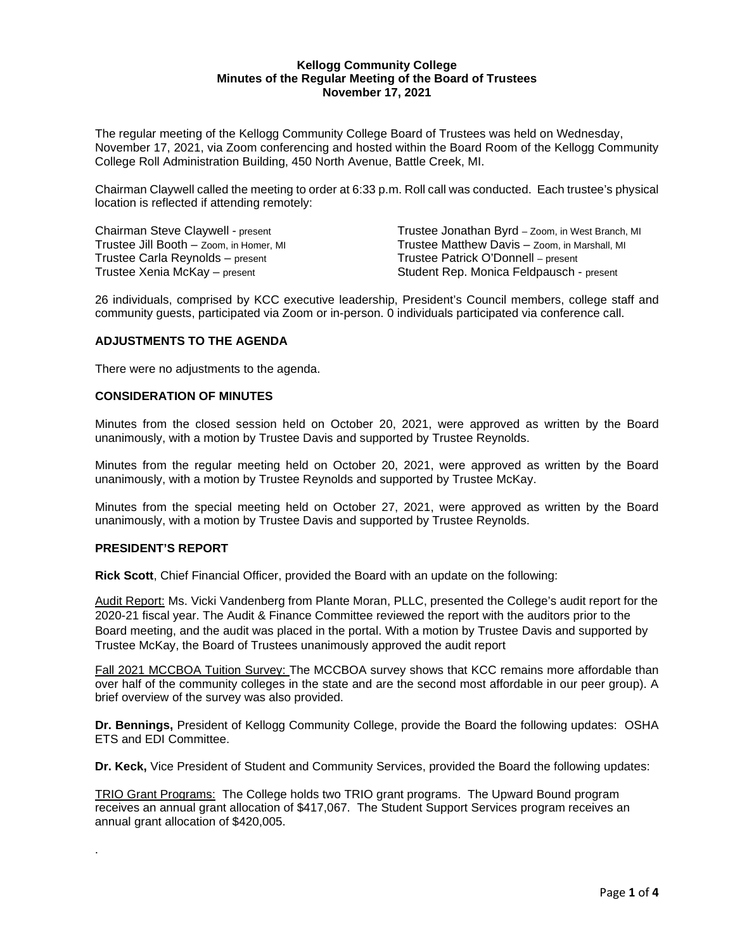## **Kellogg Community College Minutes of the Regular Meeting of the Board of Trustees November 17, 2021**

The regular meeting of the Kellogg Community College Board of Trustees was held on Wednesday, November 17, 2021, via Zoom conferencing and hosted within the Board Room of the Kellogg Community College Roll Administration Building, 450 North Avenue, Battle Creek, MI.

Chairman Claywell called the meeting to order at 6:33 p.m. Roll call was conducted. Each trustee's physical location is reflected if attending remotely:

Trustee Carla Reynolds – present

Chairman Steve Claywell - present Trustee Jonathan Byrd – Zoom, in West Branch, MI<br>Trustee Jill Booth – Zoom, in Homer, MI Trustee Matthew Davis – Zoom, in Marshall, MI Trustee Matthew Davis – Zoom, in Marshall, MI<br>Trustee Patrick O'Donnell – present Trustee Xenia McKay – present Student Rep. Monica Feldpausch - present

26 individuals, comprised by KCC executive leadership, President's Council members, college staff and community guests, participated via Zoom or in-person. 0 individuals participated via conference call.

## **ADJUSTMENTS TO THE AGENDA**

There were no adjustments to the agenda.

## **CONSIDERATION OF MINUTES**

Minutes from the closed session held on October 20, 2021, were approved as written by the Board unanimously, with a motion by Trustee Davis and supported by Trustee Reynolds.

Minutes from the regular meeting held on October 20, 2021, were approved as written by the Board unanimously, with a motion by Trustee Reynolds and supported by Trustee McKay.

Minutes from the special meeting held on October 27, 2021, were approved as written by the Board unanimously, with a motion by Trustee Davis and supported by Trustee Reynolds.

# **PRESIDENT'S REPORT**

.

**Rick Scott**, Chief Financial Officer, provided the Board with an update on the following:

Audit Report: Ms. Vicki Vandenberg from Plante Moran, PLLC, presented the College's audit report for the 2020-21 fiscal year. The Audit & Finance Committee reviewed the report with the auditors prior to the Board meeting, and the audit was placed in the portal. With a motion by Trustee Davis and supported by Trustee McKay, the Board of Trustees unanimously approved the audit report

Fall 2021 MCCBOA Tuition Survey: The MCCBOA survey shows that KCC remains more affordable than over half of the community colleges in the state and are the second most affordable in our peer group). A brief overview of the survey was also provided.

**Dr. Bennings,** President of Kellogg Community College, provide the Board the following updates: OSHA ETS and EDI Committee.

**Dr. Keck,** Vice President of Student and Community Services, provided the Board the following updates:

TRIO Grant Programs: The College holds two TRIO grant programs. The Upward Bound program receives an annual grant allocation of \$417,067. The Student Support Services program receives an annual grant allocation of \$420,005.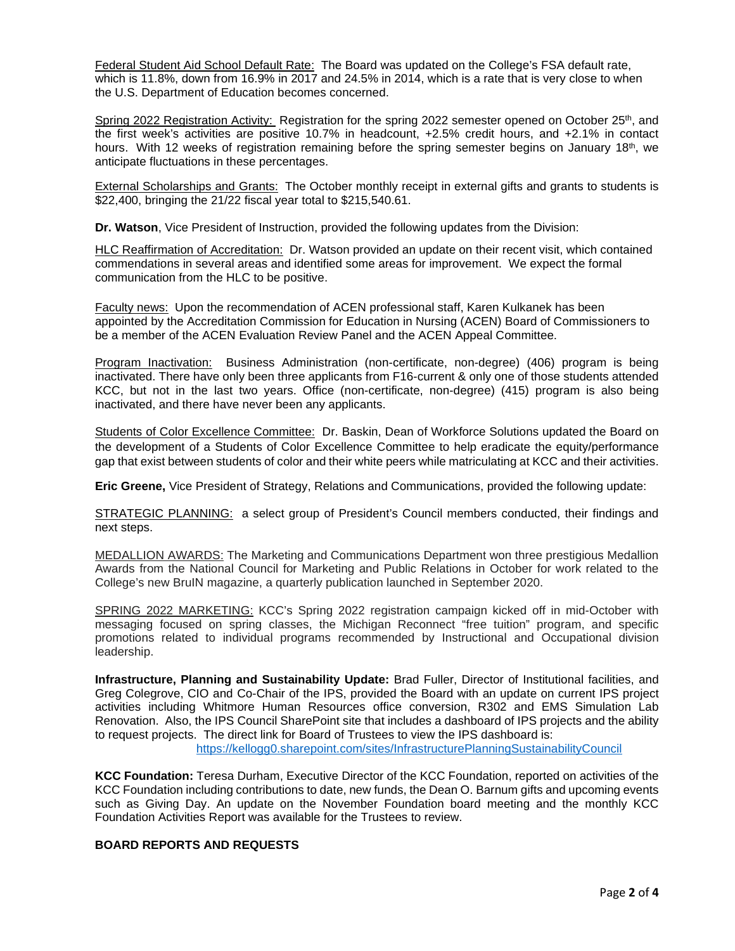Federal Student Aid School Default Rate: The Board was updated on the College's FSA default rate, which is 11.8%, down from 16.9% in 2017 and 24.5% in 2014, which is a rate that is very close to when the U.S. Department of Education becomes concerned.

Spring 2022 Registration Activity: Registration for the spring 2022 semester opened on October 25<sup>th</sup>, and the first week's activities are positive 10.7% in headcount, +2.5% credit hours, and +2.1% in contact hours. With 12 weeks of registration remaining before the spring semester begins on January 18<sup>th</sup>, we anticipate fluctuations in these percentages.

External Scholarships and Grants: The October monthly receipt in external gifts and grants to students is \$22,400, bringing the 21/22 fiscal year total to \$215,540.61.

**Dr. Watson**, Vice President of Instruction, provided the following updates from the Division:

HLC Reaffirmation of Accreditation: Dr. Watson provided an update on their recent visit, which contained commendations in several areas and identified some areas for improvement. We expect the formal communication from the HLC to be positive.

Faculty news:Upon the recommendation of ACEN professional staff, Karen Kulkanek has been appointed by the Accreditation Commission for Education in Nursing (ACEN) Board of Commissioners to be a member of the ACEN Evaluation Review Panel and the ACEN Appeal Committee.

Program Inactivation:Business Administration (non-certificate, non-degree) (406) program is being inactivated. There have only been three applicants from F16-current & only one of those students attended KCC, but not in the last two years. Office (non-certificate, non-degree) (415) program is also being inactivated, and there have never been any applicants.

Students of Color Excellence Committee:Dr. Baskin, Dean of Workforce Solutions updated the Board on the development of a Students of Color Excellence Committee to help eradicate the equity/performance gap that exist between students of color and their white peers while matriculating at KCC and their activities.

**Eric Greene,** Vice President of Strategy, Relations and Communications, provided the following update:

STRATEGIC PLANNING: a select group of President's Council members conducted, their findings and next steps.

MEDALLION AWARDS: The Marketing and Communications Department won three prestigious Medallion Awards from the National Council for Marketing and Public Relations in October for work related to the College's new BruIN magazine, a quarterly publication launched in September 2020.

SPRING 2022 MARKETING: KCC's Spring 2022 registration campaign kicked off in mid-October with messaging focused on spring classes, the Michigan Reconnect "free tuition" program, and specific promotions related to individual programs recommended by Instructional and Occupational division leadership.

**Infrastructure, Planning and Sustainability Update:** Brad Fuller, Director of Institutional facilities, and Greg Colegrove, CIO and Co-Chair of the IPS, provided the Board with an update on current IPS project activities including Whitmore Human Resources office conversion, R302 and EMS Simulation Lab Renovation. Also, the IPS Council SharePoint site that includes a dashboard of IPS projects and the ability to request projects. The direct link for Board of Trustees to view the IPS dashboard is:

<https://kellogg0.sharepoint.com/sites/InfrastructurePlanningSustainabilityCouncil>

**KCC Foundation:** Teresa Durham, Executive Director of the KCC Foundation, reported on activities of the KCC Foundation including contributions to date, new funds, the Dean O. Barnum gifts and upcoming events such as Giving Day. An update on the November Foundation board meeting and the monthly KCC Foundation Activities Report was available for the Trustees to review.

# **BOARD REPORTS AND REQUESTS**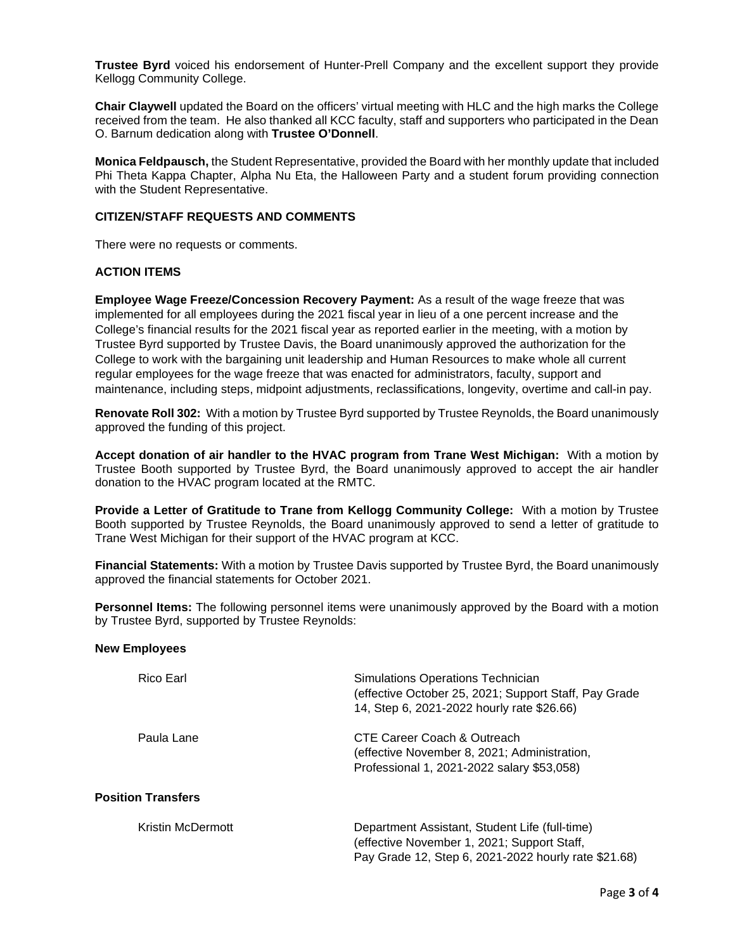**Trustee Byrd** voiced his endorsement of Hunter-Prell Company and the excellent support they provide Kellogg Community College.

**Chair Claywell** updated the Board on the officers' virtual meeting with HLC and the high marks the College received from the team. He also thanked all KCC faculty, staff and supporters who participated in the Dean O. Barnum dedication along with **Trustee O'Donnell**.

**Monica Feldpausch,** the Student Representative, provided the Board with her monthly update that included Phi Theta Kappa Chapter, Alpha Nu Eta, the Halloween Party and a student forum providing connection with the Student Representative.

## **CITIZEN/STAFF REQUESTS AND COMMENTS**

There were no requests or comments.

## **ACTION ITEMS**

**Employee Wage Freeze/Concession Recovery Payment:** As a result of the wage freeze that was implemented for all employees during the 2021 fiscal year in lieu of a one percent increase and the College's financial results for the 2021 fiscal year as reported earlier in the meeting, with a motion by Trustee Byrd supported by Trustee Davis, the Board unanimously approved the authorization for the College to work with the bargaining unit leadership and Human Resources to make whole all current regular employees for the wage freeze that was enacted for administrators, faculty, support and maintenance, including steps, midpoint adjustments, reclassifications, longevity, overtime and call-in pay.

**Renovate Roll 302:** With a motion by Trustee Byrd supported by Trustee Reynolds, the Board unanimously approved the funding of this project.

**Accept donation of air handler to the HVAC program from Trane West Michigan:** With a motion by Trustee Booth supported by Trustee Byrd, the Board unanimously approved to accept the air handler donation to the HVAC program located at the RMTC.

**Provide a Letter of Gratitude to Trane from Kellogg Community College:** With a motion by Trustee Booth supported by Trustee Reynolds, the Board unanimously approved to send a letter of gratitude to Trane West Michigan for their support of the HVAC program at KCC.

**Financial Statements:** With a motion by Trustee Davis supported by Trustee Byrd, the Board unanimously approved the financial statements for October 2021.

**Personnel Items:** The following personnel items were unanimously approved by the Board with a motion by Trustee Byrd, supported by Trustee Reynolds:

#### **New Employees**

| Rico Earl                 | Simulations Operations Technician<br>(effective October 25, 2021; Support Staff, Pay Grade<br>14, Step 6, 2021-2022 hourly rate \$26.66)              |
|---------------------------|-------------------------------------------------------------------------------------------------------------------------------------------------------|
| Paula Lane                | CTE Career Coach & Outreach<br>(effective November 8, 2021; Administration,<br>Professional 1, 2021-2022 salary \$53,058)                             |
| <b>Position Transfers</b> |                                                                                                                                                       |
| <b>Kristin McDermott</b>  | Department Assistant, Student Life (full-time)<br>(effective November 1, 2021; Support Staff,<br>Pay Grade 12, Step 6, 2021-2022 hourly rate \$21.68) |